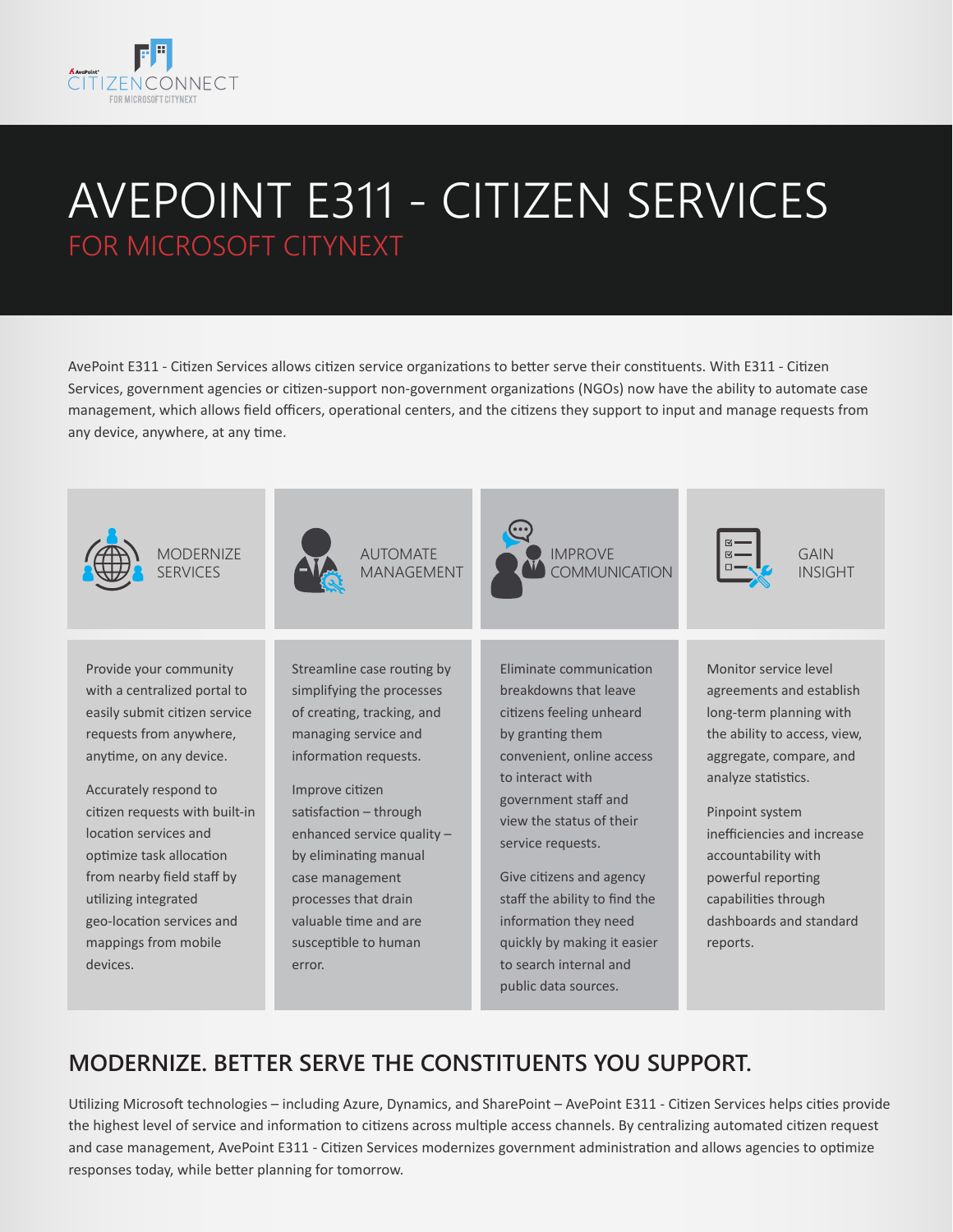

# AVEPOINT E311 - CITIZEN SERVICES FOR MICROSOFT CITYNEXT

AvePoint E311 - Citizen Services allows citizen service organizations to better serve their constituents. With E311 - Citizen Services, government agencies or citizen-support non-government organizations (NGOs) now have the ability to automate case management, which allows field officers, operational centers, and the citizens they support to input and manage requests from any device, anywhere, at any time.



### **MODERNIZE. BETTER SERVE THE CONSTITUENTS YOU SUPPORT.**

Utilizing Microsoft technologies – including Azure, Dynamics, and SharePoint – AvePoint E311 - Citizen Services helps cities provide the highest level of service and information to citizens across multiple access channels. By centralizing automated citizen request and case management, AvePoint E311 - Citizen Services modernizes government administration and allows agencies to optimize responses today, while better planning for tomorrow.